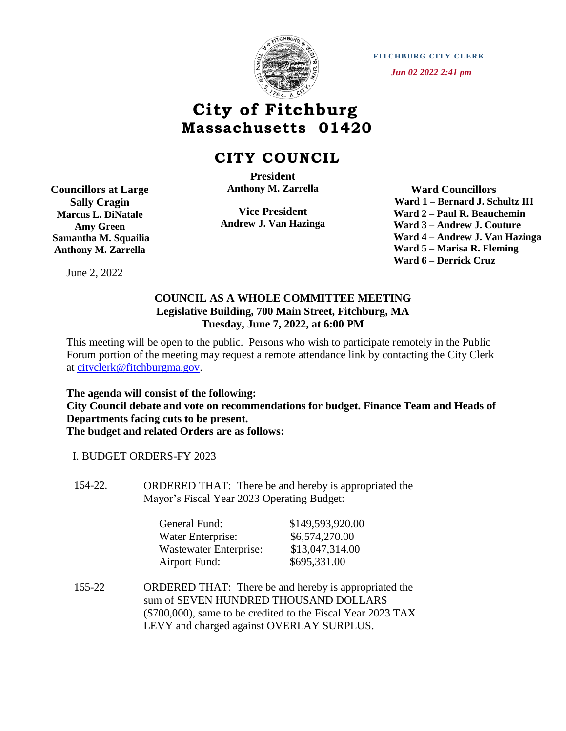

**FITCHBURG CITY CLERK**  *Jun 02 2022 2:41 pm*

## **City of Fitchburg Massachusetts 01420**

## **CITY COUNCIL**

**President Anthony M. Zarrella**

**Vice President Andrew J. Van Hazinga**

 **Ward Councillors Ward 1 – Bernard J. Schultz III Ward 2 – Paul R. Beauchemin Ward 3 – Andrew J. Couture Ward 4 – Andrew J. Van Hazinga Ward 5 – Marisa R. Fleming Ward 6 – Derrick Cruz**

## **COUNCIL AS A WHOLE COMMITTEE MEETING Legislative Building, 700 Main Street, Fitchburg, MA Tuesday, June 7, 2022, at 6:00 PM**

This meeting will be open to the public. Persons who wish to participate remotely in the Public Forum portion of the meeting may request a remote attendance link by contacting the City Clerk at [cityclerk@fitchburgma.gov.](mailto:cityclerk@fitchburgma.gov)

**The agenda will consist of the following: City Council debate and vote on recommendations for budget. Finance Team and Heads of Departments facing cuts to be present. The budget and related Orders are as follows:**

I. BUDGET ORDERS-FY 2023

154-22. ORDERED THAT: There be and hereby is appropriated the Mayor's Fiscal Year 2023 Operating Budget:

| General Fund:          | \$149,593,920.00 |
|------------------------|------------------|
| Water Enterprise:      | \$6,574,270.00   |
| Wastewater Enterprise: | \$13,047,314.00  |
| <b>Airport Fund:</b>   | \$695,331.00     |

155-22 ORDERED THAT: There be and hereby is appropriated the sum of SEVEN HUNDRED THOUSAND DOLLARS (\$700,000), same to be credited to the Fiscal Year 2023 TAX LEVY and charged against OVERLAY SURPLUS.

**Councillors at Large Sally Cragin Marcus L. DiNatale Amy Green Samantha M. Squailia Anthony M. Zarrella**

June 2, 2022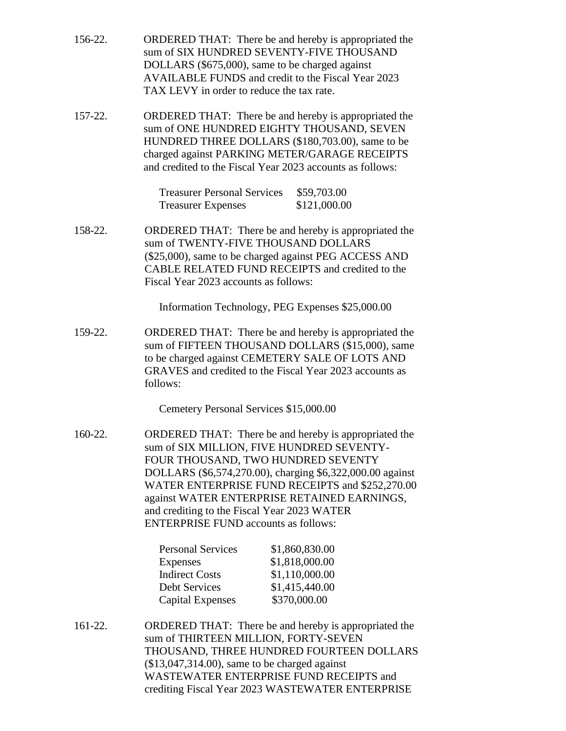| 156-22. | ORDERED THAT: There be and hereby is appropriated the<br>sum of SIX HUNDRED SEVENTY-FIVE THOUSAND<br>DOLLARS (\$675,000), same to be charged against<br><b>AVAILABLE FUNDS</b> and credit to the Fiscal Year 2023<br>TAX LEVY in order to reduce the tax rate.       |                                                                                                                                                                                                                                                                                                                                                                                                       |  |
|---------|----------------------------------------------------------------------------------------------------------------------------------------------------------------------------------------------------------------------------------------------------------------------|-------------------------------------------------------------------------------------------------------------------------------------------------------------------------------------------------------------------------------------------------------------------------------------------------------------------------------------------------------------------------------------------------------|--|
| 157-22. | ORDERED THAT: There be and hereby is appropriated the<br>sum of ONE HUNDRED EIGHTY THOUSAND, SEVEN<br>HUNDRED THREE DOLLARS (\$180,703.00), same to be<br>charged against PARKING METER/GARAGE RECEIPTS<br>and credited to the Fiscal Year 2023 accounts as follows: |                                                                                                                                                                                                                                                                                                                                                                                                       |  |
|         | <b>Treasurer Personal Services</b><br><b>Treasurer Expenses</b>                                                                                                                                                                                                      | \$59,703.00<br>\$121,000.00                                                                                                                                                                                                                                                                                                                                                                           |  |
| 158-22. | sum of TWENTY-FIVE THOUSAND DOLLARS<br>Fiscal Year 2023 accounts as follows:                                                                                                                                                                                         | ORDERED THAT: There be and hereby is appropriated the<br>(\$25,000), same to be charged against PEG ACCESS AND<br>CABLE RELATED FUND RECEIPTS and credited to the                                                                                                                                                                                                                                     |  |
|         |                                                                                                                                                                                                                                                                      | Information Technology, PEG Expenses \$25,000.00                                                                                                                                                                                                                                                                                                                                                      |  |
| 159-22. | follows:                                                                                                                                                                                                                                                             | ORDERED THAT: There be and hereby is appropriated the<br>sum of FIFTEEN THOUSAND DOLLARS (\$15,000), same<br>to be charged against CEMETERY SALE OF LOTS AND<br>GRAVES and credited to the Fiscal Year 2023 accounts as                                                                                                                                                                               |  |
|         | Cemetery Personal Services \$15,000.00                                                                                                                                                                                                                               |                                                                                                                                                                                                                                                                                                                                                                                                       |  |
| 160-22. |                                                                                                                                                                                                                                                                      | ORDERED THAT: There be and hereby is appropriated the<br>sum of SIX MILLION, FIVE HUNDRED SEVENTY-<br>FOUR THOUSAND, TWO HUNDRED SEVENTY<br>DOLLARS (\$6,574,270.00), charging \$6,322,000.00 against<br>WATER ENTERPRISE FUND RECEIPTS and \$252,270.00<br>against WATER ENTERPRISE RETAINED EARNINGS,<br>and crediting to the Fiscal Year 2023 WATER<br><b>ENTERPRISE FUND accounts as follows:</b> |  |
|         | <b>Personal Services</b><br>Expenses<br><b>Indirect Costs</b><br><b>Debt Services</b><br>Capital Expenses                                                                                                                                                            | \$1,860,830.00<br>\$1,818,000.00<br>\$1,110,000.00<br>\$1,415,440.00<br>\$370,000.00                                                                                                                                                                                                                                                                                                                  |  |
| 161-22. | ORDERED THAT: There be and hereby is appropriated the<br>sum of THIRTEEN MILLION, FORTY-SEVEN<br>THOUSAND, THREE HUNDRED FOURTEEN DOLLARS                                                                                                                            |                                                                                                                                                                                                                                                                                                                                                                                                       |  |

(\$13,047,314.00), same to be charged against WASTEWATER ENTERPRISE FUND RECEIPTS and crediting Fiscal Year 2023 WASTEWATER ENTERPRISE